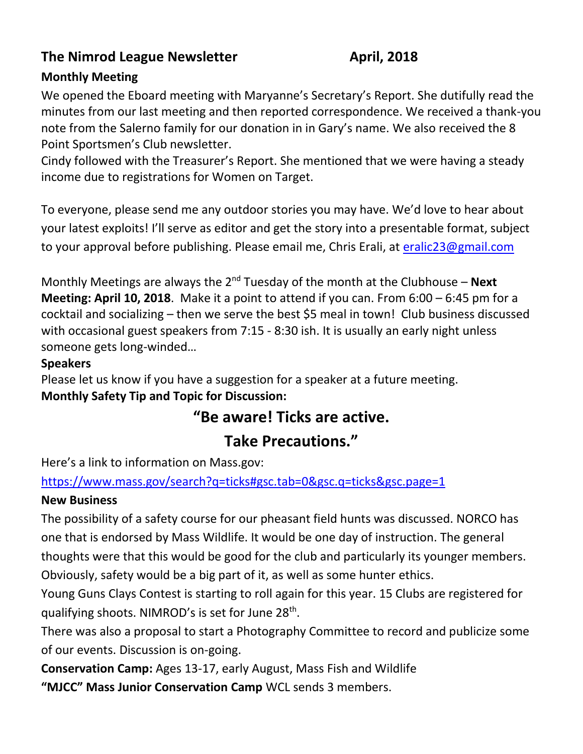# **The Nimrod League Newsletter April, 2018**

# **Monthly Meeting**

We opened the Eboard meeting with Maryanne's Secretary's Report. She dutifully read the minutes from our last meeting and then reported correspondence. We received a thank-you note from the Salerno family for our donation in in Gary's name. We also received the 8 Point Sportsmen's Club newsletter.

Cindy followed with the Treasurer's Report. She mentioned that we were having a steady income due to registrations for Women on Target.

To everyone, please send me any outdoor stories you may have. We'd love to hear about your latest exploits! I'll serve as editor and get the story into a presentable format, subject to your approval before publishing. Please email me, Chris Erali, at [eralic23@gmail.com](mailto:eralic23@gmail.com)

Monthly Meetings are always the 2<sup>nd</sup> Tuesday of the month at the Clubhouse – **Next Meeting: April 10, 2018**. Make it a point to attend if you can. From 6:00 – 6:45 pm for a cocktail and socializing – then we serve the best \$5 meal in town! Club business discussed with occasional guest speakers from 7:15 - 8:30 ish. It is usually an early night unless someone gets long-winded…

#### **Speakers**

Please let us know if you have a suggestion for a speaker at a future meeting. **Monthly Safety Tip and Topic for Discussion:** 

# **"Be aware! Ticks are active.**

# **Take Precautions."**

Here's a link to information on Mass.gov:

### [https://www.mass.gov/search?q=ticks#gsc.tab=0&gsc.q=ticks&gsc.page=1](https://www.mass.gov/search?q=ticks%23gsc.tab=0&gsc.q=ticks&gsc.page=1)

### **New Business**

The possibility of a safety course for our pheasant field hunts was discussed. NORCO has one that is endorsed by Mass Wildlife. It would be one day of instruction. The general thoughts were that this would be good for the club and particularly its younger members. Obviously, safety would be a big part of it, as well as some hunter ethics.

Young Guns Clays Contest is starting to roll again for this year. 15 Clubs are registered for qualifying shoots. NIMROD's is set for June 28<sup>th</sup>.

There was also a proposal to start a Photography Committee to record and publicize some of our events. Discussion is on-going.

**Conservation Camp:** Ages 13-17, early August, Mass Fish and Wildlife

**"MJCC" Mass Junior Conservation Camp** WCL sends 3 members.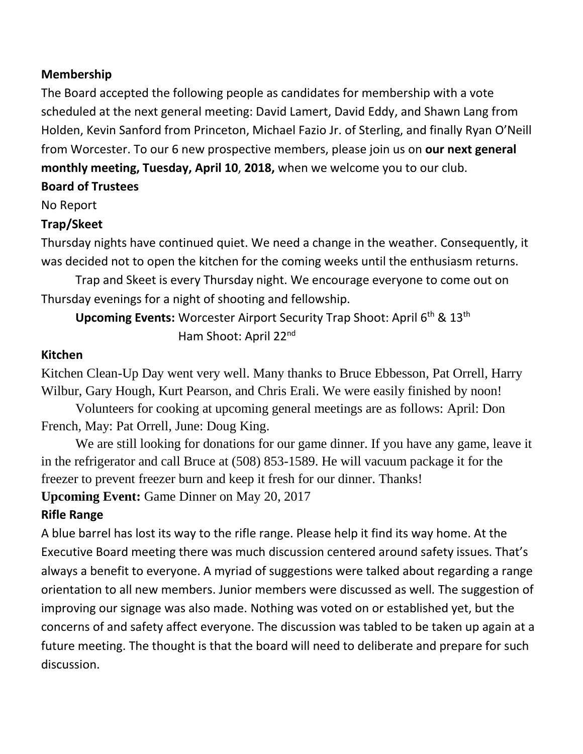#### **Membership**

The Board accepted the following people as candidates for membership with a vote scheduled at the next general meeting: David Lamert, David Eddy, and Shawn Lang from Holden, Kevin Sanford from Princeton, Michael Fazio Jr. of Sterling, and finally Ryan O'Neill from Worcester. To our 6 new prospective members, please join us on **our next general monthly meeting, Tuesday, April 10**, **2018,** when we welcome you to our club.

**Board of Trustees**

No Report

### **Trap/Skeet**

Thursday nights have continued quiet. We need a change in the weather. Consequently, it was decided not to open the kitchen for the coming weeks until the enthusiasm returns.

Trap and Skeet is every Thursday night. We encourage everyone to come out on Thursday evenings for a night of shooting and fellowship.

**Upcoming Events:** Worcester Airport Security Trap Shoot: April 6<sup>th</sup> & 13<sup>th</sup> Ham Shoot: April 22<sup>nd</sup>

#### **Kitchen**

Kitchen Clean-Up Day went very well. Many thanks to Bruce Ebbesson, Pat Orrell, Harry Wilbur, Gary Hough, Kurt Pearson, and Chris Erali. We were easily finished by noon!

Volunteers for cooking at upcoming general meetings are as follows: April: Don French, May: Pat Orrell, June: Doug King.

We are still looking for donations for our game dinner. If you have any game, leave it in the refrigerator and call Bruce at (508) 853-1589. He will vacuum package it for the freezer to prevent freezer burn and keep it fresh for our dinner. Thanks!

**Upcoming Event:** Game Dinner on May 20, 2017

# **Rifle Range**

A blue barrel has lost its way to the rifle range. Please help it find its way home. At the Executive Board meeting there was much discussion centered around safety issues. That's always a benefit to everyone. A myriad of suggestions were talked about regarding a range orientation to all new members. Junior members were discussed as well. The suggestion of improving our signage was also made. Nothing was voted on or established yet, but the concerns of and safety affect everyone. The discussion was tabled to be taken up again at a future meeting. The thought is that the board will need to deliberate and prepare for such discussion.